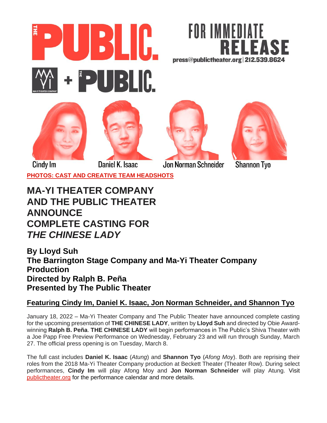











**Cindy Im** Daniel K. Isaac **[PHOTOS: CAST AND CREATIVE TEAM HEADSHOTS](https://www.dropbox.com/sh/fnr2e07iljjrzjo/AADykeT6ikIwTK9UDCrNJADia?dl=0)**

Jon Norman Schneider

**Shannon Tyo** 

# **MA-YI THEATER COMPANY AND THE PUBLIC THEATER ANNOUNCE COMPLETE CASTING FOR** *THE CHINESE LADY*

**By Lloyd Suh The Barrington Stage Company and Ma-Yi Theater Company Production Directed by Ralph B. Peña Presented by The Public Theater**

# **Featuring Cindy Im, Daniel K. Isaac, Jon Norman Schneider, and Shannon Tyo**

January 18, 2022 – Ma-Yi Theater Company and The Public Theater have announced complete casting for the upcoming presentation of **THE CHINESE LADY**, written by **Lloyd Suh** and directed by Obie Awardwinning **Ralph B. Peña**. **THE CHINESE LADY** will begin performances in The Public's Shiva Theater with a Joe Papp Free Preview Performance on Wednesday, February 23 and will run through Sunday, March 27. The official press opening is on Tuesday, March 8.

The full cast includes **Daniel K. Isaac** (*Atung*) and **Shannon Tyo** (*Afong Moy*). Both are reprising their roles from the 2018 Ma-Yi Theater Company production at Beckett Theater (Theater Row). During select performances, **Cindy Im** will play Afong Moy and **Jon Norman Schneider** will play Atung. Visit [publictheater.org](http://www.publictheater.org/) for the performance calendar and more details.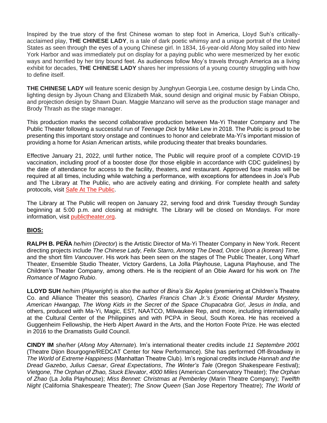Inspired by the true story of the first Chinese woman to step foot in America, Lloyd Suh's criticallyacclaimed play, **THE CHINESE LADY**, is a tale of dark poetic whimsy and a unique portrait of the United States as seen through the eyes of a young Chinese girl. In 1834, 16-year-old Afong Moy sailed into New York Harbor and was immediately put on display for a paying public who were mesmerized by her exotic ways and horrified by her tiny bound feet. As audiences follow Moy's travels through America as a living exhibit for decades, **THE CHINESE LADY** shares her impressions of a young country struggling with how to define itself.

**THE CHINESE LADY** will feature scenic design by Junghyun Georgia Lee, costume design by Linda Cho, lighting design by Jiyoun Chang and Elizabeth Mak, sound design and original music by Fabian Obispo, and projection design by Shawn Duan. Maggie Manzano will serve as the production stage manager and Brody Thrash as the stage manager.

This production marks the second collaborative production between Ma-Yi Theater Company and The Public Theater following a successful run of *Teenage Dick* by Mike Lew in 2018. The Public is proud to be presenting this important story onstage and continues to honor and celebrate Ma-Yi's important mission of providing a home for Asian American artists, while producing theater that breaks boundaries.

Effective January 21, 2022, until further notice, The Public will require proof of a complete COVID-19 vaccination, including proof of a booster dose (for those eligible in accordance with CDC guidelines) by the date of attendance for access to the facility, theaters, and restaurant. Approved face masks will be required at all times, including while watching a performance, with exceptions for attendees in Joe's Pub and The Library at The Public, who are actively eating and drinking. For complete health and safety protocols, visit [Safe At The Public.](http://thepublic.nyc/safeatthepublic)

The Library at The Public will reopen on January 22, serving food and drink Tuesday through Sunday beginning at 5:00 p.m. and closing at midnight. The Library will be closed on Mondays. For more information, visit [publictheater.org.](http://www.publictheater.org/)

# **BIOS:**

**RALPH B. PEÑA** *he/him* (*Director*) is the Artistic Director of Ma-Yi Theater Company in New York. Recent directing projects include *The Chinese Lady, Felix Starro, Among The Dead, Once Upon a (korean) Time,* and the short film *Vancouver*. His work has been seen on the stages of The Public Theater, Long Wharf Theater, Ensemble Studio Theater, Victory Gardens, La Jolla Playhouse, Laguna Playhouse, and The Children's Theater Company, among others. He is the recipient of an Obie Award for his work on *The Romance of Magno Rubio*.

**LLOYD SUH** *he/him* (*Playwright*) is also the author of *Bina's Six Apples* (premiering at Children's Theatre Co. and Alliance Theater this season), *Charles Francis Chan Jr.'s Exotic Oriental Murder Mystery, American Hwangap, The Wong Kids in the Secret of the Space Chupacabra Go!, Jesus in India*, and others, produced with Ma-Yi, Magic, EST, NAATCO, Milwaukee Rep, and more, including internationally at the Cultural Center of the Philippines and with PCPA in Seoul, South Korea. He has received a Guggenheim Fellowship, the Herb Alpert Award in the Arts, and the Horton Foote Prize. He was elected in 2016 to the Dramatists Guild Council.

**CINDY IM** *she/her* (*Afong Moy Alternate*). Im's international theater credits include *11 Septembre 2001* (Theatre Dijon Bourgogne/REDCAT Center for New Performance). She has performed Off-Broadway in *The World of Extreme Happiness* (Manhattan Theatre Club). Im's regional credits include *Hannah and the Dread Gazebo*, *Julius Caesar*, *Great Expectations*, *The Winter's Tale* (Oregon Shakespeare Festival); *Vietgone, The Orphan of Zhao, Stuck Elevator*, *4000 Miles* (American Conservatory Theater); *The Orphan of Zhao* (La Jolla Playhouse); *Miss Bennet: Christmas at Pemberley* (Marin Theatre Company); *Twelfth Night* (California Shakespeare Theater); *The Snow Queen* (San Jose Repertory Theatre); *The World of*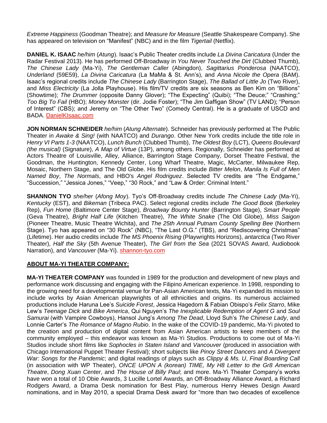*Extreme Happiness* (Goodman Theatre); and *Measure for Measure* (Seattle Shakespeare Company). She has appeared on television on "Manifest" (NBC) and in the film *Tigertail* (Netflix).

**DANIEL K. ISAAC** *he/him* (*Atung*). Isaac's Public Theater credits include *La Divina Caricatura* (Under the Radar Festival 2013)*.* He has performed Off-Broadway in *You Never Touched the Dirt* (Clubbed Thumb), *The Chinese Lady* (Ma-Yi), *The Gentleman Caller* (Abingdon), *Sagittarius Ponderosa* (NAATCO), *Underland* (59E59), *La Divina Caricatura* (La MaMa & St. Ann's), and *Anna Nicole the Opera* (BAM). Isaac's regional credits include *The Chinese Lady* (Barrington Stage), *The Ballad of Little Jo* (Two River), and *Miss Electricity* (La Jolla Playhouse). His film/TV credits are six seasons as Ben Kim on "Billions" (Showtime); *The Drummer* (opposite Danny Glover); "The Expecting" (Quibi); "The Deuce;" "Crashing;" *Too Big To Fail* (HBO); *Money Monster* (dir. Jodie Foster); "The Jim Gaffigan Show" (TV LAND); "Person of Interest" (CBS); and Jeremy on "The Other Two" (Comedy Central). He is a graduate of USCD and BADA. [DanielKIsaac.com](https://nam10.safelinks.protection.outlook.com/?url=http%3A%2F%2Fdanielkisaac.com%2F&data=04%7C01%7C%7C44686163e5e24a4217f808d9cfcb92fd%7C819f3c4644b8404c8220f690820adca2%7C0%7C0%7C637769295542575170%7CUnknown%7CTWFpbGZsb3d8eyJWIjoiMC4wLjAwMDAiLCJQIjoiV2luMzIiLCJBTiI6Ik1haWwiLCJXVCI6Mn0%3D%7C3000&sdata=ZTC0YgPkYivussEJQefb14zVmlyTyDAhUOXZVxhNZn8%3D&reserved=0)

**JON NORMAN SCHNEIDER** *he/him* (*Atung Alternate*). Schneider has previously performed at The Public Theater in *Awake & Sing!* (with NAATCO) and *Durango*. Other New York credits include the title role in *Henry VI Parts 1-3* (NAATCO), *Lunch Bunch* (Clubbed Thumb), *The Oldest Boy* (LCT), *Queens Boulevard (the musical)* (Signature), *A Map of Virtue* (13P), among others. Regionally, Schneider has performed at Actors Theatre of Louisville, Alley, Alliance, Barrington Stage Company, Dorset Theatre Festival, the Goodman, the Huntington, Kennedy Center, Long Wharf Theatre, Magic, McCarter, Milwaukee Rep, Mosaic, Northern Stage, and The Old Globe. His film credits include *Bitter Melon*, *Manila Is Full of Men Named Boy*, *The Normals*, and HBO's *Angel Rodriguez*. Selected TV credits are "The Endgame," "Succession," "Jessica Jones," "Veep," "30 Rock," and "Law & Order: Criminal Intent."

**SHANNON TYO** *she/her* (*Afong Moy*). Tyo's Off-Broadway credits include *The Chinese Lady* (Ma-Yi), *Kentucky* (EST), and *Bikeman* (Tribeca PAC). Select regional credits include *The Good Book* (Berkeley Rep), *Fun Home* (Baltimore Center Stage), *Broadway Bounty Hunter* (Barrington Stage), *Smart People* (Geva Theatre), *Bright Half Life* (Kitchen Theatre), *The White Snake* (The Old Globe), *Miss Saigon* (Pioneer Theatre, Music Theatre Wichita), and *The 25th Annual Putnam County Spelling Bee* (Northern Stage). Tyo has appeared on "30 Rock" (NBC), "The Last O.G." (TBS), and "Rediscovering Christmas" (Lifetime). Her audio credits include *The MS Phoenix Rising* (Playwrights Horizons), *antarctica* (Two River Theater), *Half the Sky* (5th Avenue Theater), *The Girl from the Sea* (2021 SOVAS Award, Audiobook Narration), and *Vancouver* (Ma-Yi). [shannon-tyo.com](http://www.shannon-tyo.com/)

#### **ABOUT MA-YI THEATER COMPANY:**

**MA-YI THEATER COMPANY** was founded in 1989 for the production and development of new plays and performance work discussing and engaging with the Filipino American experience. In 1998, responding to the growing need for a developmental venue for Pan-Asian American texts, Ma-Yi expanded its mission to include works by Asian American playwrights of all ethnicities and origins. Its numerous acclaimed productions include Haruna Lee's *Suicide Forest*, Jessica Hagedorn & Fabian Obispo's *Felix Starro*, Mike Lew's *Teenage Dick* and *Bike America*, Qui Nguyen's *The Inexplicable Redemption of Agent G* and *Soul Samurai* (with Vampire Cowboys), Hansol Jung's *Among The Dead*, Lloyd Suh's *The Chinese Lady*, and Lonnie Carter's *The Romance of Magno Rubio*. In the wake of the COVID-19 pandemic, Ma-Yi pivoted to the creation and production of digital content from Asian American artists to keep members of the community employed – this endeavor was known as Ma-Yi Studios. Productions to come out of Ma-Yi Studios include short films like *Sophocles in Staten Island* and *Vancouver* (produced in association with Chicago International Puppet Theater Festival); short subjects like *Pinoy Street Dancers* and *A Divergent War: Songs for the Pandemic*; and digital readings of plays such as *Clippy & Ms. U*, *Final Boarding Call* (in association with WP Theater), *ONCE UPON A (korean) TIME, My H8 Letter to the Gr8 American Theatre*, *Dong Xuan Center*, and *The House of Billy Paul*; and more. Ma-Yi Theater Company's works have won a total of 10 Obie Awards, 3 Lucille Lortel Awards, an Off-Broadway Alliance Award, a Richard Rodgers Award, a Drama Desk nomination for Best Play, numerous Henry Hewes Design Award nominations, and in May 2010, a special Drama Desk award for "more than two decades of excellence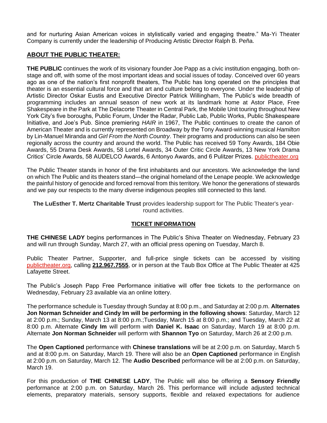and for nurturing Asian American voices in stylistically varied and engaging theatre." Ma-Yi Theater Company is currently under the leadership of Producing Artistic Director Ralph B. Peña.

### **ABOUT THE PUBLIC THEATER:**

**THE PUBLIC** continues the work of its visionary founder Joe Papp as a civic institution engaging, both onstage and off, with some of the most important ideas and social issues of today. Conceived over 60 years ago as one of the nation's first nonprofit theaters, The Public has long operated on the principles that theater is an essential cultural force and that art and culture belong to everyone. Under the leadership of Artistic Director Oskar Eustis and Executive Director Patrick Willingham, The Public's wide breadth of programming includes an annual season of new work at its landmark home at Astor Place, Free Shakespeare in the Park at The Delacorte Theater in Central Park, the Mobile Unit touring throughout New York City's five boroughs, Public Forum, Under the Radar, Public Lab, Public Works, Public Shakespeare Initiative, and Joe's Pub. Since premiering *HAIR* in 1967, The Public continues to create the canon of American Theater and is currently represented on Broadway by the Tony Award-winning musical *Hamilton*  by Lin-Manuel Miranda and *Girl From the North Country*. Their programs and productions can also be seen regionally across the country and around the world. The Public has received 59 Tony Awards, 184 Obie Awards, 55 Drama Desk Awards, 58 Lortel Awards, 34 Outer Critic Circle Awards, 13 New York Drama Critics' Circle Awards, 58 AUDELCO Awards, 6 Antonyo Awards, and 6 Pulitzer Prizes[.](http://publictheater.org/) [publictheater.org](http://publictheater.org/)

The Public Theater stands in honor of the first inhabitants and our ancestors. We acknowledge the land on which The Public and its theaters stand—the original homeland of the Lenape people. We acknowledge the painful history of genocide and forced removal from this territory. We honor the generations of stewards and we pay our respects to the many diverse indigenous peoples still connected to this land.

**The LuEsther T. Mertz Charitable Trust** provides leadership support for The Public Theater's yearround activities.

#### **TICKET INFORMATION**

**THE CHINESE LADY** begins performances in The Public's Shiva Theater on Wednesday, February 23 and will run through Sunday, March 27, with an official press opening on Tuesday, March 8.

Public Theater Partner, Supporter, and full-price single tickets can be accessed by visiting [publictheater.org,](http://www.publictheater.org/) calling **212.967.7555**, or in person at the Taub Box Office at The Public Theater at 425 Lafayette Street.

The Public's Joseph Papp Free Performance initiative will offer free tickets to the performance on Wednesday, February 23 available via an online lottery.

The performance schedule is Tuesday through Sunday at 8:00 p.m., and Saturday at 2:00 p.m. **Alternates Jon Norman Schneider and Cindy Im will be performing in the following shows**: Saturday, March 12 at 2:00 p.m.; Sunday, March 13 at 8:00 p.m.;Tuesday, March 15 at 8:00 p.m.; and Tuesday, March 22 at 8:00 p.m. Alternate **Cindy Im** will perform with **Daniel K. Isaac** on Saturday, March 19 at 8:00 p.m. Alternate **Jon Norman Schneider** will perform with **Shannon Tyo** on Saturday, March 26 at 2:00 p.m.

The **Open Captioned** performance with **Chinese translations** will be at 2:00 p.m. on Saturday, March 5 and at 8:00 p.m. on Saturday, March 19. There will also be an **Open Captioned** performance in English at 2:00 p.m. on Saturday, March 12. The **Audio Described** performance will be at 2:00 p.m. on Saturday, March 19.

For this production of **THE CHINESE LADY**, The Public will also be offering a **Sensory Friendly**  performance at 2:00 p.m. on Saturday, March 26. This performance will include adjusted technical elements, preparatory materials, sensory supports, flexible and relaxed expectations for audience